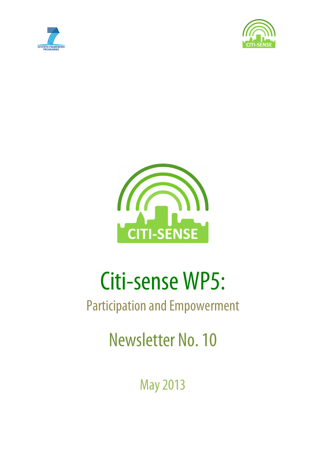





# Citi-sense WP5:

# Participation and Empowerment

Newsletter No. 10

May2013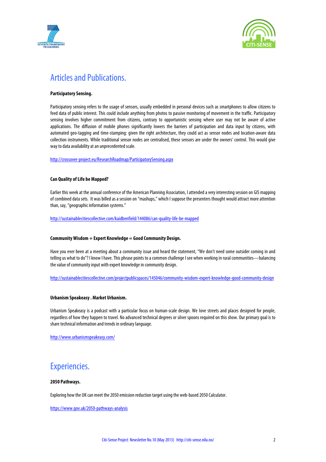



## Articles and Publications.

#### **Participatory Sensing.**

Participatory sensing refers to the usage of sensors, usually embedded in personal devices such as smartphones to allow citizens to feed data of public interest. This could include anything from photos to passive monitoring of movement in the traffic. Participatory sensing involves higher commitment from citizens, contrary to opportunistic sensing where user may not be aware of active applications. The diffusion of mobile phones significantly lowers the barriers of participation and data input by citizens, with automated geo-tagging and time-stamping: given the right architecture, they could act as sensor nodes and location-aware data collection instruments. While traditional sensor nodes are centralised, these sensors are under the owners' control. This would give way to data availability at an unprecedented scale.

http://crossover-project.eu/ResearchRoadmap/ParticipatorySensing.aspx

#### **Can Quality of Life be Mapped?**

Earlier this week at the annual conference of the American Planning Association, I attended a very interesting session on GIS mapping of combined data sets. It was billed as a session on "mashups," which I suppose the presenters thought would attract more attention than, say, "geographic information systems."

http://sustainablecitiescollective.com/kaidbenfield/144086/can-quality-life-be-mapped

#### **Community Wisdom + Expert Knowledge = Good Community Design.**

Have you ever been at a meeting about a community issue and heard the statement, "We don't need some outsider coming in and telling us what to do"? I know I have. This phrase points to a common challenge I see when working in rural communities—balancing the value of community input with expert knowledge in community design.

http://sustainablecitiescollective.com/projectpublicspaces/145046/community-wisdom-expert-knowledge-good-community-design

#### **Urbanism Speakeasy . Market Urbanism.**

Urbanism Speakeasy is a podcast with a particular focus on human-scale design. We love streets and places designed for people, regardless of how they happen to travel. No advanced technical degrees or silver spoons required on this show. Our primary goal is to share technical information and trends in ordinary language.

http://www.urbanismspeakeasy.com/

### Experiencies.

#### **2050 Pathways.**

Exploring how the UK can meet the 2050 emission reduction target using the web-based 2050 Calculator.

https://www.gov.uk/2050-pathways-analysis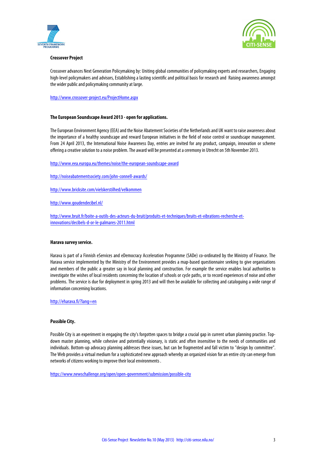



#### **Crossover Project**

Crossover advances Next Generation Policymaking by: Uniting global communities of policymaking experts and researchers, Engaging high-level policymakers and advisors, Establishing a lasting scientific and political basis for research and Raising awareness amongst the wider public and policymaking community at large.

http://www.crossover-project.eu/ProjectHome.aspx

#### **The European Soundscape Award 2013 - open for applications.**

The European Environment Agency (EEA) and the Noise Abatement Societies of the Netherlands and UK want to raise awareness about the importance of a healthy soundscape and reward European initiatives in the field of noise control or soundscape management. From 24 April 2013, the International Noise Awareness Day, entries are invited for any product, campaign, innovation or scheme offering a creative solution to a noise problem. The award will be presented ata ceremony in Utrecht on 5th November 2013.

http://www.eea.europa.eu/themes/noise/the-european-soundscape-award

http://noiseabatementsociety.com/john-connell-awards/

http://www.bricksite.com/vielskerstilhed/velkommen

http://www.goudendecibel.nl/

http://www.bruit.fr/boite-a-outils-des-acteurs-du-bruit/produits-et-techniques/bruits-et-vibrations-recherche-etinnovations/decibels-d-or-le-palmares-2011.html

#### **Harava survey service.**

Harava is part of a Finnish eServices and eDemocracy Acceleration Programme (SADe) co-ordinated by the Ministry of Finance. The Harava service implemented by the Ministry of the Environment provides a map-based questionnaire seeking to give organisations and members of the public a greater say in local planning and construction. For example the service enables local authorities to investigate the wishes of local residents concerning the location of schools or cycle paths, or to record experiences of noise and other problems. The service is due for deployment in spring 2013 and will then be available for collecting and cataloguing a wide range of information concerning locations.

http://eharava.fi/?lang=en

#### **Possible City.**

Possible City is an experiment in engaging the city's forgotten spaces to bridge a crucial gap in current urban planning practice. Topdown master planning, while cohesive and potentially visionary, is static and often insensitive to the needs of communities and individuals. Bottom-up advocacy planning addresses these issues, but can be fragmented and fall victim to "design by committee". The Web provides a virtual medium for a sophisticated new approach whereby an organized vision for an entire city can emerge from networks of citizens working to improve their local environments .

https://www.newschallenge.org/open/open-government/submission/possible-city